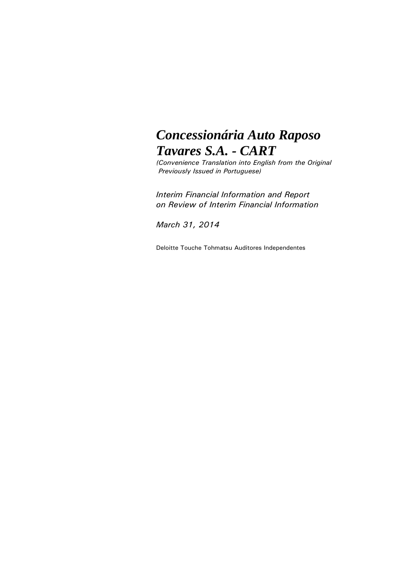# *Concessionária Auto Raposo Tavares S.A. - CART*

*(Convenience Translation into English from the Original Previously Issued in Portuguese)*

*Interim Financial Information and Report on Review of Interim Financial Information*

*March 31, 2014*

Deloitte Touche Tohmatsu Auditores Independentes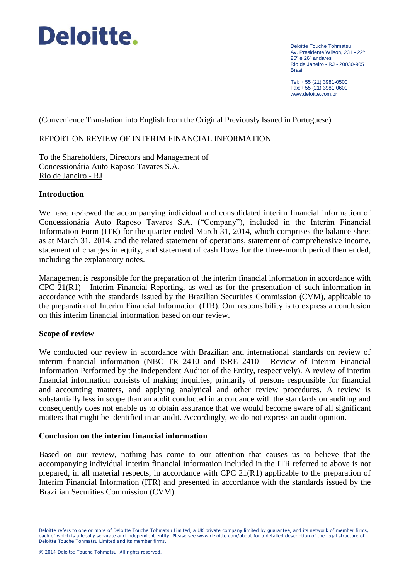

Deloitte Touche Tohmatsu Av. Presidente Wilson, 231 - 22º 25º e 26º andares Rio de Janeiro - RJ - 20030-905 Brasil

Tel: + 55 (21) 3981-0500 Fax:+ 55 (21) 3981-0600 www.deloitte.com.br

(Convenience Translation into English from the Original Previously Issued in Portuguese)

#### REPORT ON REVIEW OF INTERIM FINANCIAL INFORMATION

To the Shareholders, Directors and Management of Concessionária Auto Raposo Tavares S.A. Rio de Janeiro - RJ

#### **Introduction**

We have reviewed the accompanying individual and consolidated interim financial information of Concessionária Auto Raposo Tavares S.A. ("Company"), included in the Interim Financial Information Form (ITR) for the quarter ended March 31, 2014, which comprises the balance sheet as at March 31, 2014, and the related statement of operations, statement of comprehensive income, statement of changes in equity, and statement of cash flows for the three-month period then ended, including the explanatory notes.

Management is responsible for the preparation of the interim financial information in accordance with CPC 21(R1) - Interim Financial Reporting, as well as for the presentation of such information in accordance with the standards issued by the Brazilian Securities Commission (CVM), applicable to the preparation of Interim Financial Information (ITR). Our responsibility is to express a conclusion on this interim financial information based on our review.

#### **Scope of review**

We conducted our review in accordance with Brazilian and international standards on review of interim financial information (NBC TR 2410 and ISRE 2410 - Review of Interim Financial Information Performed by the Independent Auditor of the Entity, respectively). A review of interim financial information consists of making inquiries, primarily of persons responsible for financial and accounting matters, and applying analytical and other review procedures. A review is substantially less in scope than an audit conducted in accordance with the standards on auditing and consequently does not enable us to obtain assurance that we would become aware of all significant matters that might be identified in an audit. Accordingly, we do not express an audit opinion.

#### **Conclusion on the interim financial information**

Based on our review, nothing has come to our attention that causes us to believe that the accompanying individual interim financial information included in the ITR referred to above is not prepared, in all material respects, in accordance with CPC 21(R1) applicable to the preparation of Interim Financial Information (ITR) and presented in accordance with the standards issued by the Brazilian Securities Commission (CVM).

Deloitte refers to one or more of Deloitte Touche Tohmatsu Limited, a UK private company limited by guarantee, and its network of member firms, each of which is a legally separate and independent entity. Please see www.deloitte.com/about for a detailed description of the legal structure of Deloitte Touche Tohmatsu Limited and its member firms.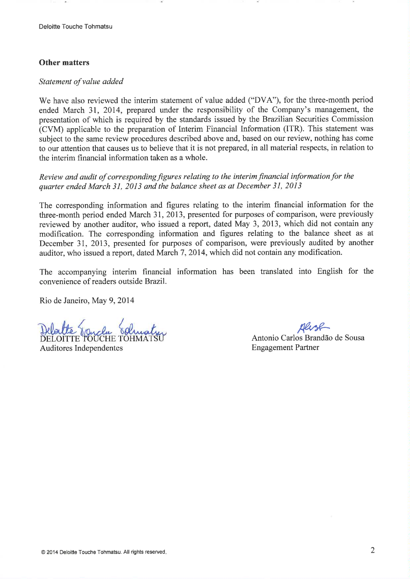#### **Other matters**

#### Statement of value added

We have also reviewed the interim statement of value added ("DVA"), for the three-month period ended March 31, 2014, prepared under the responsibility of the Company's management, the presentation of which is required by the standards issued by the Brazilian Securities Commission (CVM) applicable to the preparation of Interim Financial Information (ITR). This statement was subject to the same review procedures described above and, based on our review, nothing has come to our attention that causes us to believe that it is not prepared, in all material respects, in relation to the interim financial information taken as a whole.

Review and audit of corresponding figures relating to the interim financial information for the quarter ended March 31, 2013 and the balance sheet as at December 31, 2013

The corresponding information and figures relating to the interim financial information for the three-month period ended March 31, 2013, presented for purposes of comparison, were previously reviewed by another auditor, who issued a report, dated May 3, 2013, which did not contain any modification. The corresponding information and figures relating to the balance sheet as at December 31, 2013, presented for purposes of comparison, were previously audited by another auditor, who issued a report, dated March 7, 2014, which did not contain any modification.

The accompanying interim financial information has been translated into English for the convenience of readers outside Brazil.

Rio de Janeiro, May 9, 2014

DELOITTE TOUCHE TOHM

Auditores Independentes

Antonio Carlos Brandão de Sousa **Engagement Partner**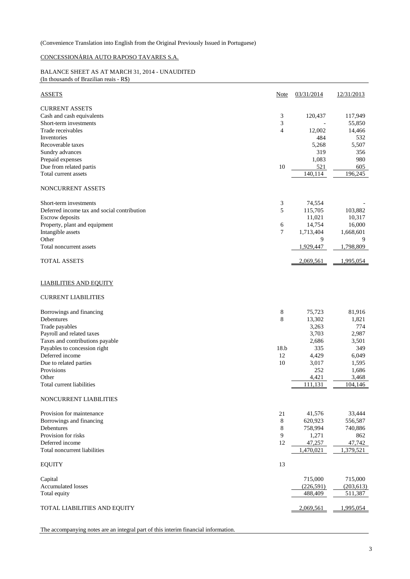#### CONCESSIONÁRIA AUTO RAPOSO TAVARES S.A.

#### BALANCE SHEET AS AT MARCH 31, 2014 - UNAUDITED (In thousands of Brazilian reais - R\$)

| <b>ASSETS</b>                                                                | Note           | 03/31/2014          | 12/31/2013        |
|------------------------------------------------------------------------------|----------------|---------------------|-------------------|
| <b>CURRENT ASSETS</b><br>Cash and cash equivalents<br>Short-term investments | 3<br>3         | 120,437             | 117,949<br>55,850 |
| Trade receivables<br>Inventories                                             | $\overline{4}$ | 12,002<br>484       | 14,466<br>532     |
| Recoverable taxes<br>Sundry advances                                         |                | 5,268<br>319        | 5,507<br>356      |
| Prepaid expenses<br>Due from related partis                                  | 10             | 1,083               | 980<br>605        |
| Total current assets                                                         |                | 521<br>140,114      | 196,245           |
| NONCURRENT ASSETS                                                            |                |                     |                   |
| Short-term investments                                                       | 3              | 74,554              |                   |
| Deferred income tax and social contribution                                  | 5              | 115,705             | 103,882           |
| Escrow deposits<br>Property, plant and equipment                             | 6              | 11,021<br>14,754    | 10,317<br>16,000  |
| Intangible assets                                                            | $\tau$         | 1,713,404           | 1,668,601         |
| Other                                                                        |                | 9                   | 9                 |
| Total noncurrent assets                                                      |                | 1,929,447           | 1,798,809         |
| <b>TOTAL ASSETS</b>                                                          |                | 2,069,561           | 1,995,054         |
| <b>LIABILITIES AND EQUITY</b>                                                |                |                     |                   |
| <b>CURRENT LIABILITIES</b>                                                   |                |                     |                   |
| Borrowings and financing                                                     | 8              | 75,723              | 81,916            |
| Debentures                                                                   | 8              | 13,302              | 1,821             |
| Trade payables                                                               |                | 3,263               | 774               |
| Payroll and related taxes<br>Taxes and contributions payable                 |                | 3,703<br>2,686      | 2,987<br>3,501    |
| Payables to concession right                                                 | 18.b           | 335                 | 349               |
| Deferred income                                                              | 12             | 4,429               | 6,049             |
| Due to related parties                                                       | 10             | 3,017               | 1,595             |
| Provisions                                                                   |                | 252                 | 1,686             |
| Other                                                                        |                | 4,421               | 3,468             |
| Total current liabilities                                                    |                | 111,131             | 104,146           |
| NONCURRENT LIABILITIES                                                       |                |                     |                   |
| Provision for maintenance                                                    | 21             | 41,576              | 33,444            |
| Borrowings and financing                                                     | 8              | 620,923             | 556,587           |
| Debentures<br>Provision for risks                                            | $\,8\,$        | 758,994             | 740,886           |
| Deferred income                                                              | 9<br>12        | 1,271               | 862<br>47,742     |
| Total noncurrent liabilities                                                 |                | 47,257<br>1,470,021 | 1,379,521         |
| <b>EQUITY</b>                                                                | 13             |                     |                   |
| Capital                                                                      |                | 715,000             | 715,000           |
| <b>Accumulated losses</b>                                                    |                | (226, 591)          | (203, 613)        |
| Total equity                                                                 |                | 488,409             | 511,387           |
| TOTAL LIABILITIES AND EQUITY                                                 |                | 2,069,561           | 1,995,054         |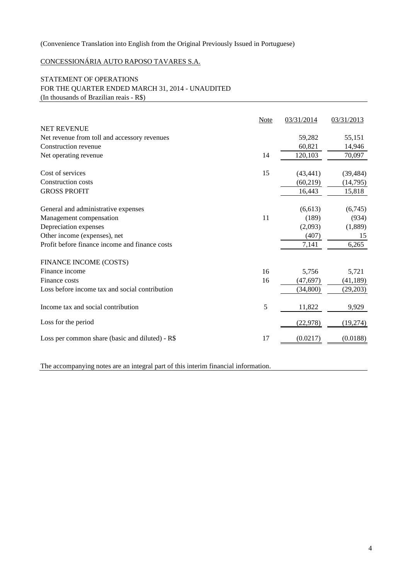## CONCESSIONÁRIA AUTO RAPOSO TAVARES S.A.

#### STATEMENT OF OPERATIONS FOR THE QUARTER ENDED MARCH 31, 2014 - UNAUDITED (In thousands of Brazilian reais - R\$)

|                                                 | Note | 03/31/2014 | 03/31/2013 |
|-------------------------------------------------|------|------------|------------|
| <b>NET REVENUE</b>                              |      |            |            |
| Net revenue from toll and accessory revenues    |      | 59,282     | 55,151     |
| Construction revenue                            |      | 60,821     | 14,946     |
| Net operating revenue                           | 14   | 120,103    | 70,097     |
| Cost of services                                | 15   | (43, 441)  | (39, 484)  |
| <b>Construction costs</b>                       |      | (60, 219)  | (14,795)   |
| <b>GROSS PROFIT</b>                             |      | 16,443     | 15,818     |
| General and administrative expenses             |      | (6,613)    | (6,745)    |
| Management compensation                         | 11   | (189)      | (934)      |
| Depreciation expenses                           |      | (2,093)    | (1,889)    |
| Other income (expenses), net                    |      | (407)      | 15         |
| Profit before finance income and finance costs  |      | 7,141      | 6,265      |
| FINANCE INCOME (COSTS)                          |      |            |            |
| Finance income                                  | 16   | 5,756      | 5,721      |
| Finance costs                                   | 16   | (47, 697)  | (41, 189)  |
| Loss before income tax and social contribution  |      | (34,800)   | (29,203)   |
| Income tax and social contribution              | 5    | 11,822     | 9,929      |
| Loss for the period                             |      | (22, 978)  | (19,274)   |
| Loss per common share (basic and diluted) - R\$ | 17   | (0.0217)   | (0.0188)   |
|                                                 |      |            |            |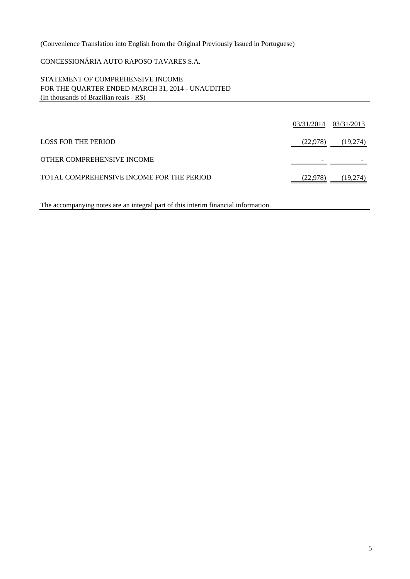## CONCESSIONÁRIA AUTO RAPOSO TAVARES S.A.

#### STATEMENT OF COMPREHENSIVE INCOME FOR THE QUARTER ENDED MARCH 31, 2014 - UNAUDITED (In thousands of Brazilian reais - R\$)

|                                           | 03/31/2014 | 03/31/2013 |
|-------------------------------------------|------------|------------|
| LOSS FOR THE PERIOD                       | (22,978)   | (19,274)   |
| OTHER COMPREHENSIVE INCOME                |            |            |
| TOTAL COMPREHENSIVE INCOME FOR THE PERIOD | (22,978)   | (19,274)   |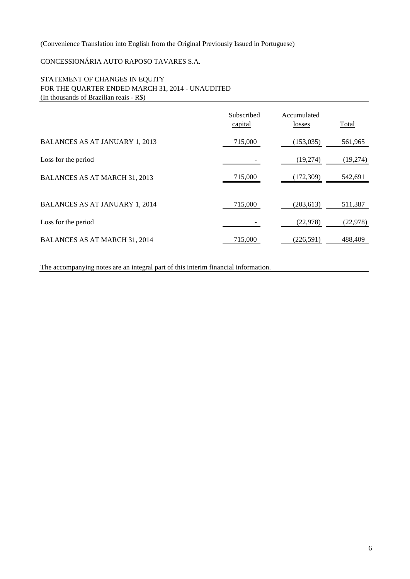# CONCESSIONÁRIA AUTO RAPOSO TAVARES S.A.

#### STATEMENT OF CHANGES IN EQUITY FOR THE QUARTER ENDED MARCH 31, 2014 - UNAUDITED (In thousands of Brazilian reais - R\$)

|                                       | Subscribed<br>capital | Accumulated<br>losses | Total    |
|---------------------------------------|-----------------------|-----------------------|----------|
| <b>BALANCES AS AT JANUARY 1, 2013</b> | 715,000               | (153, 035)            | 561,965  |
| Loss for the period                   |                       | (19,274)              | (19,274) |
| <b>BALANCES AS AT MARCH 31, 2013</b>  | 715,000               | (172, 309)            | 542,691  |
| <b>BALANCES AS AT JANUARY 1, 2014</b> | 715,000               | (203, 613)            | 511,387  |
| Loss for the period                   |                       | (22, 978)             | (22,978) |
| <b>BALANCES AS AT MARCH 31, 2014</b>  | 715,000               | (226, 591)            | 488,409  |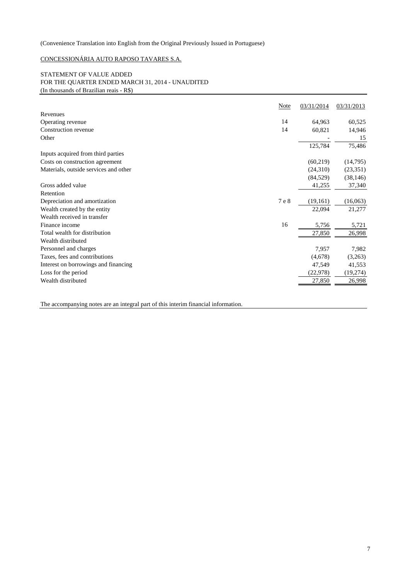#### CONCESSIONÁRIA AUTO RAPOSO TAVARES S.A.

#### STATEMENT OF VALUE ADDED FOR THE QUARTER ENDED MARCH 31, 2014 - UNAUDITED (In thousands of Brazilian reais - R\$)

|                                       | Note  | 03/31/2014 | 03/31/2013 |
|---------------------------------------|-------|------------|------------|
| Revenues                              |       |            |            |
| Operating revenue                     | 14    | 64,963     | 60,525     |
| Construction revenue                  | 14    | 60,821     | 14,946     |
| Other                                 |       |            | 15         |
|                                       |       | 125,784    | 75,486     |
| Inputs acquired from third parties    |       |            |            |
| Costs on construction agreement       |       | (60, 219)  | (14,795)   |
| Materials, outside services and other |       | (24,310)   | (23, 351)  |
|                                       |       | (84, 529)  | (38, 146)  |
| Gross added value                     |       | 41,255     | 37,340     |
| Retention                             |       |            |            |
| Depreciation and amortization         | 7 e 8 | (19,161)   | (16,063)   |
| Wealth created by the entity          |       | 22,094     | 21,277     |
| Wealth received in transfer           |       |            |            |
| Finance income                        | 16    | 5,756      | 5,721      |
| Total wealth for distribution         |       | 27,850     | 26,998     |
| Wealth distributed                    |       |            |            |
| Personnel and charges                 |       | 7,957      | 7,982      |
| Taxes, fees and contributions         |       | (4,678)    | (3,263)    |
| Interest on borrowings and financing  |       | 47,549     | 41,553     |
| Loss for the period                   |       | (22, 978)  | (19,274)   |
| Wealth distributed                    |       | 27,850     | 26,998     |
|                                       |       |            |            |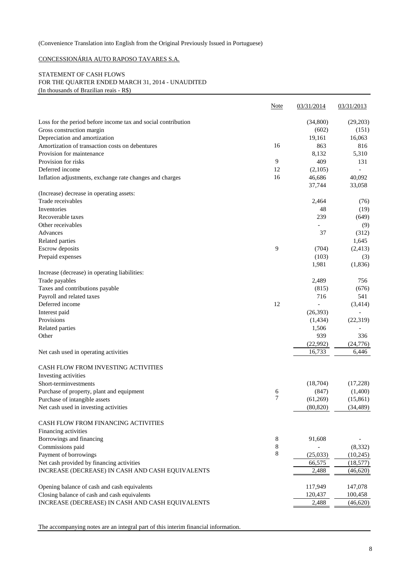#### CONCESSIONÁRIA AUTO RAPOSO TAVARES S.A.

#### STATEMENT OF CASH FLOWS FOR THE QUARTER ENDED MARCH 31, 2014 - UNAUDITED (In thousands of Brazilian reais - R\$)

|                                                               | <b>Note</b> | 03/31/2014 | 03/31/2013     |
|---------------------------------------------------------------|-------------|------------|----------------|
| Loss for the period before income tax and social contribution |             | (34,800)   | (29,203)       |
| Gross construction margin                                     |             | (602)      | (151)          |
| Depreciation and amortization                                 |             | 19,161     | 16,063         |
| Amortization of transaction costs on debentures               | 16          | 863        | 816            |
| Provision for maintenance                                     |             | 8,132      | 5,310          |
| Provision for risks                                           | 9           | 409        | 131            |
| Deferred income                                               | 12          | (2,105)    | $\overline{a}$ |
| Inflation adjustments, exchange rate changes and charges      | 16          | 46,686     | 40,092         |
|                                                               |             | 37,744     | 33,058         |
| (Increase) decrease in operating assets:                      |             |            |                |
| Trade receivables                                             |             | 2,464      | (76)           |
| Inventories                                                   |             | 48         | (19)           |
| Recoverable taxes                                             |             | 239        | (649)          |
| Other receivables                                             |             |            | (9)            |
| Advances                                                      |             | 37         | (312)          |
| Related parties                                               |             |            | 1,645          |
| Escrow deposits                                               | 9           | (704)      | (2, 413)       |
| Prepaid expenses                                              |             | (103)      | (3)            |
|                                                               |             | 1,981      | (1, 836)       |
| Increase (decrease) in operating liabilities:                 |             |            |                |
| Trade payables                                                |             | 2,489      | 756            |
| Taxes and contributions payable                               |             | (815)      | (676)          |
| Payroll and related taxes                                     |             | 716        | 541            |
| Deferred income                                               | 12          |            | (3, 414)       |
| Interest paid                                                 |             | (26, 393)  |                |
| Provisions                                                    |             | (1,434)    | (22, 319)      |
| Related parties                                               |             | 1,506      |                |
| Other                                                         |             | 939        | 336            |
|                                                               |             | (22,992)   | (24, 776)      |
| Net cash used in operating activities                         |             | 16,733     | 6,446          |
| CASH FLOW FROM INVESTING ACTIVITIES                           |             |            |                |
| Investing activities                                          |             |            |                |
| Short-terminvestments                                         |             | (18,704)   | (17,228)       |
| Purchase of property, plant and equipment                     | 6           | (847)      | (1,400)        |
| Purchase of intangible assets                                 | 7           | (61,269)   | (15, 861)      |
| Net cash used in investing activities                         |             | (80, 820)  | (34, 489)      |
| CASH FLOW FROM FINANCING ACTIVITIES                           |             |            |                |
| Financing activities                                          |             |            |                |
| Borrowings and financing                                      | $\,8\,$     | 91,608     |                |
| Commissions paid                                              | 8           |            | (8,332)        |
| Payment of borrowings                                         | 8           | (25,033)   | (10, 245)      |
| Net cash provided by financing activities                     |             | 66,575     | (18, 577)      |
| INCREASE (DECREASE) IN CASH AND CASH EQUIVALENTS              |             | 2,488      | (46, 620)      |
|                                                               |             |            |                |
| Opening balance of cash and cash equivalents                  |             | 117,949    | 147,078        |
| Closing balance of cash and cash equivalents                  |             | 120,437    | 100,458        |
| INCREASE (DECREASE) IN CASH AND CASH EQUIVALENTS              |             | 2,488      | (46,620)       |
|                                                               |             |            |                |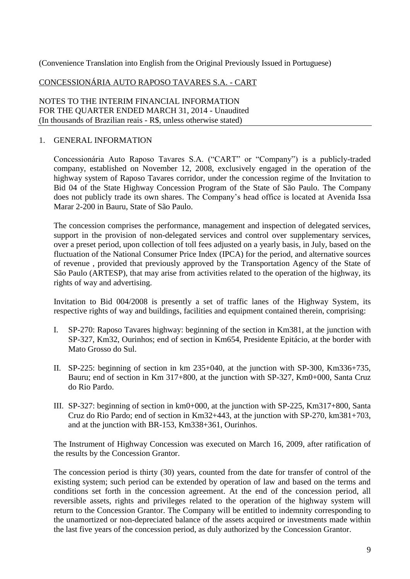# CONCESSIONÁRIA AUTO RAPOSO TAVARES S.A. - CART

NOTES TO THE INTERIM FINANCIAL INFORMATION FOR THE QUARTER ENDED MARCH 31, 2014 - Unaudited (In thousands of Brazilian reais - R\$, unless otherwise stated)

# 1. GENERAL INFORMATION

Concessionária Auto Raposo Tavares S.A. ("CART" or "Company") is a publicly-traded company, established on November 12, 2008, exclusively engaged in the operation of the highway system of Raposo Tavares corridor, under the concession regime of the Invitation to Bid 04 of the State Highway Concession Program of the State of São Paulo. The Company does not publicly trade its own shares. The Company's head office is located at Avenida Issa Marar 2-200 in Bauru, State of São Paulo.

The concession comprises the performance, management and inspection of delegated services, support in the provision of non-delegated services and control over supplementary services, over a preset period, upon collection of toll fees adjusted on a yearly basis, in July, based on the fluctuation of the National Consumer Price Index (IPCA) for the period, and alternative sources of revenue , provided that previously approved by the Transportation Agency of the State of São Paulo (ARTESP), that may arise from activities related to the operation of the highway, its rights of way and advertising.

Invitation to Bid 004/2008 is presently a set of traffic lanes of the Highway System, its respective rights of way and buildings, facilities and equipment contained therein, comprising:

- I. SP-270: Raposo Tavares highway: beginning of the section in Km381, at the junction with SP-327, Km32, Ourinhos; end of section in Km654, Presidente Epitácio, at the border with Mato Grosso do Sul.
- II. SP-225: beginning of section in km 235+040, at the junction with SP-300, Km336+735, Bauru; end of section in Km 317+800, at the junction with SP-327, Km0+000, Santa Cruz do Rio Pardo.
- III. SP-327: beginning of section in km0+000, at the junction with SP-225, Km317+800, Santa Cruz do Rio Pardo; end of section in Km32+443, at the junction with SP-270, km381+703, and at the junction with BR-153, Km338+361, Ourinhos.

The Instrument of Highway Concession was executed on March 16, 2009, after ratification of the results by the Concession Grantor.

The concession period is thirty (30) years, counted from the date for transfer of control of the existing system; such period can be extended by operation of law and based on the terms and conditions set forth in the concession agreement. At the end of the concession period, all reversible assets, rights and privileges related to the operation of the highway system will return to the Concession Grantor. The Company will be entitled to indemnity corresponding to the unamortized or non-depreciated balance of the assets acquired or investments made within the last five years of the concession period, as duly authorized by the Concession Grantor.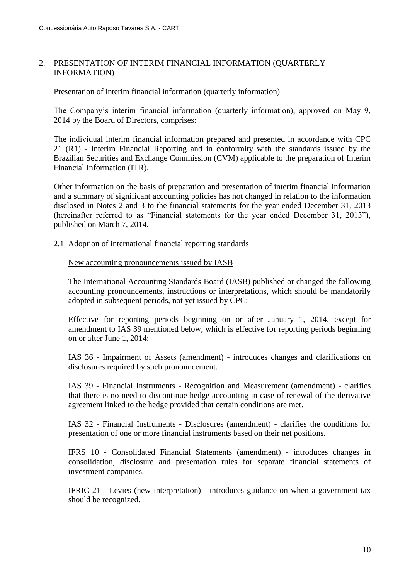# 2. PRESENTATION OF INTERIM FINANCIAL INFORMATION (QUARTERLY INFORMATION)

Presentation of interim financial information (quarterly information)

The Company's interim financial information (quarterly information), approved on May 9, 2014 by the Board of Directors, comprises:

The individual interim financial information prepared and presented in accordance with CPC 21 (R1) - Interim Financial Reporting and in conformity with the standards issued by the Brazilian Securities and Exchange Commission (CVM) applicable to the preparation of Interim Financial Information (ITR).

Other information on the basis of preparation and presentation of interim financial information and a summary of significant accounting policies has not changed in relation to the information disclosed in Notes 2 and 3 to the financial statements for the year ended December 31, 2013 (hereinafter referred to as "Financial statements for the year ended December 31, 2013"), published on March 7, 2014.

2.1 Adoption of international financial reporting standards

New accounting pronouncements issued by IASB

The International Accounting Standards Board (IASB) published or changed the following accounting pronouncements, instructions or interpretations, which should be mandatorily adopted in subsequent periods, not yet issued by CPC:

Effective for reporting periods beginning on or after January 1, 2014, except for amendment to IAS 39 mentioned below, which is effective for reporting periods beginning on or after June 1, 2014:

IAS 36 - Impairment of Assets (amendment) - introduces changes and clarifications on disclosures required by such pronouncement.

IAS 39 - Financial Instruments - Recognition and Measurement (amendment) - clarifies that there is no need to discontinue hedge accounting in case of renewal of the derivative agreement linked to the hedge provided that certain conditions are met.

IAS 32 - Financial Instruments - Disclosures (amendment) - clarifies the conditions for presentation of one or more financial instruments based on their net positions.

IFRS 10 - Consolidated Financial Statements (amendment) - introduces changes in consolidation, disclosure and presentation rules for separate financial statements of investment companies.

IFRIC 21 - Levies (new interpretation) - introduces guidance on when a government tax should be recognized.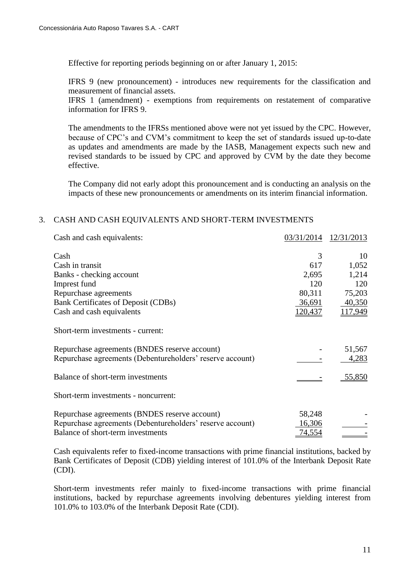Effective for reporting periods beginning on or after January 1, 2015:

IFRS 9 (new pronouncement) - introduces new requirements for the classification and measurement of financial assets.

IFRS 1 (amendment) - exemptions from requirements on restatement of comparative information for IFRS 9.

The amendments to the IFRSs mentioned above were not yet issued by the CPC. However, because of CPC's and CVM's commitment to keep the set of standards issued up-to-date as updates and amendments are made by the IASB, Management expects such new and revised standards to be issued by CPC and approved by CVM by the date they become effective.

The Company did not early adopt this pronouncement and is conducting an analysis on the impacts of these new pronouncements or amendments on its interim financial information.

# 3. CASH AND CASH EQUIVALENTS AND SHORT-TERM INVESTMENTS

| Cash and cash equivalents:                                | 03/31/2014     | 12/31/2013     |
|-----------------------------------------------------------|----------------|----------------|
| Cash                                                      | 3              | 10             |
| Cash in transit                                           | 617            | 1,052          |
| Banks - checking account                                  | 2,695          | 1,214          |
| Imprest fund                                              | 120            | 120            |
| Repurchase agreements                                     | 80,311         | 75,203         |
| <b>Bank Certificates of Deposit (CDBs)</b>                | <u>36,691</u>  | 40,350         |
| Cash and cash equivalents                                 | <u>120,437</u> | <u>117,949</u> |
| Short-term investments - current:                         |                |                |
| Repurchase agreements (BNDES reserve account)             |                | 51,567         |
| Repurchase agreements (Debentureholders' reserve account) |                | 4,283          |
| Balance of short-term investments                         |                | 55,850         |
| Short-term investments - noncurrent:                      |                |                |
| Repurchase agreements (BNDES reserve account)             | 58,248         |                |
| Repurchase agreements (Debentureholders' reserve account) | <u>16,306</u>  |                |
| Balance of short-term investments                         | 74,554         |                |

Cash equivalents refer to fixed-income transactions with prime financial institutions, backed by Bank Certificates of Deposit (CDB) yielding interest of 101.0% of the Interbank Deposit Rate (CDI).

Short-term investments refer mainly to fixed-income transactions with prime financial institutions, backed by repurchase agreements involving debentures yielding interest from 101.0% to 103.0% of the Interbank Deposit Rate (CDI).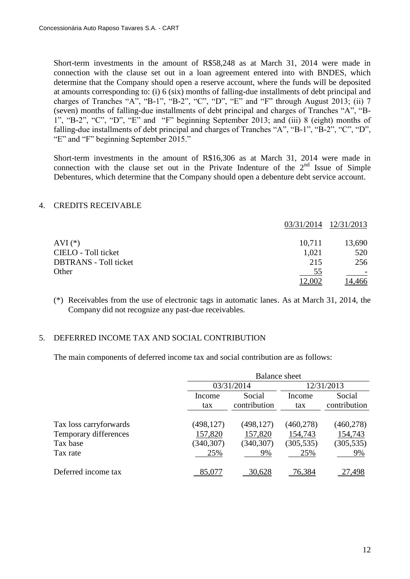Short-term investments in the amount of R\$58,248 as at March 31, 2014 were made in connection with the clause set out in a loan agreement entered into with BNDES, which determine that the Company should open a reserve account, where the funds will be deposited at amounts corresponding to: (i) 6 (six) months of falling-due installments of debt principal and charges of Tranches "A", "B-1", "B-2", "C", "D", "E" and "F" through August 2013; (ii) 7 (seven) months of falling-due installments of debt principal and charges of Tranches "A", "B-1", "B-2", "C", "D", "E" and "F" beginning September 2013; and (iii) 8 (eight) months of falling-due installments of debt principal and charges of Tranches "A", "B-1", "B-2", "C", "D", "E" and "F" beginning September 2015."

Short-term investments in the amount of R\$16,306 as at March 31, 2014 were made in connection with the clause set out in the Private Indenture of the  $2<sup>nd</sup>$  Issue of Simple Debentures, which determine that the Company should open a debenture debt service account.

#### 4. CREDITS RECEIVABLE

|                              |        | 03/31/2014 12/31/2013 |
|------------------------------|--------|-----------------------|
| AVI $(*)$                    | 10,711 | 13,690                |
| CIELO - Toll ticket          | 1,021  | 520                   |
| <b>DBTRANS</b> - Toll ticket | 215    | 256                   |
| Other                        | 55     |                       |
|                              | 12,002 | <u>14,466</u>         |

(\*) Receivables from the use of electronic tags in automatic lanes. As at March 31, 2014, the Company did not recognize any past-due receivables.

#### 5. DEFERRED INCOME TAX AND SOCIAL CONTRIBUTION

The main components of deferred income tax and social contribution are as follows:

|                                   |                       | <b>Balance sheet</b>   |                       |                        |  |  |
|-----------------------------------|-----------------------|------------------------|-----------------------|------------------------|--|--|
|                                   |                       | 03/31/2014             |                       | 12/31/2013             |  |  |
|                                   | Income<br>tax         | Social<br>contribution | Income<br>tax         | Social<br>contribution |  |  |
| Tax loss carryforwards            | (498, 127)            | (498, 127)             | (460, 278)            | (460, 278)             |  |  |
| Temporary differences<br>Tax base | 157,820<br>(340, 307) | 157,820<br>(340, 307)  | 154,743<br>(305, 535) | 154,743<br>(305, 535)  |  |  |
| Tax rate                          | 25%                   | 9%                     | 25%                   | 9%                     |  |  |
| Deferred income tax               | 85,077                | 30,628                 | 76,384                | 27.498                 |  |  |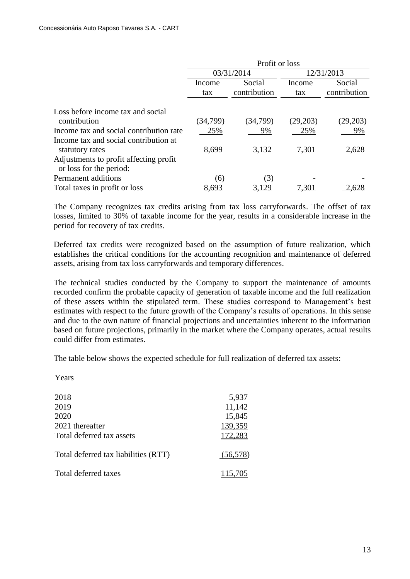|                                                                   | Profit or loss |                        |            |               |                        |
|-------------------------------------------------------------------|----------------|------------------------|------------|---------------|------------------------|
|                                                                   |                | 03/31/2014             | 12/31/2013 |               |                        |
|                                                                   | Income<br>tax  | Social<br>contribution |            | Income<br>tax | Social<br>contribution |
|                                                                   |                |                        |            |               |                        |
| Loss before income tax and social<br>contribution                 | (34,799)       | (34, 799)              | (29,203)   | (29,203)      |                        |
| Income tax and social contribution rate                           | 25%            | 9%                     | 25%        | 9%            |                        |
| Income tax and social contribution at<br>statutory rates          | 8,699          | 3,132                  | 7,301      | 2,628         |                        |
| Adjustments to profit affecting profit<br>or loss for the period: |                |                        |            |               |                        |
| Permanent additions                                               | $\epsilon$     | 3                      |            |               |                        |
| Total taxes in profit or loss                                     | 8,693          |                        | 7.301      | .628          |                        |

The Company recognizes tax credits arising from tax loss carryforwards. The offset of tax losses, limited to 30% of taxable income for the year, results in a considerable increase in the period for recovery of tax credits.

Deferred tax credits were recognized based on the assumption of future realization, which establishes the critical conditions for the accounting recognition and maintenance of deferred assets, arising from tax loss carryforwards and temporary differences.

The technical studies conducted by the Company to support the maintenance of amounts recorded confirm the probable capacity of generation of taxable income and the full realization of these assets within the stipulated term. These studies correspond to Management's best estimates with respect to the future growth of the Company's results of operations. In this sense and due to the own nature of financial projections and uncertainties inherent to the information based on future projections, primarily in the market where the Company operates, actual results could differ from estimates.

The table below shows the expected schedule for full realization of deferred tax assets:

| <i>r</i> ears                        |           |
|--------------------------------------|-----------|
| 2018                                 | 5,937     |
| 2019                                 | 11,142    |
| 2020                                 | 15,845    |
| 2021 thereafter                      | 139,359   |
| Total deferred tax assets            | 172,283   |
| Total deferred tax liabilities (RTT) | (56, 578) |
| Total deferred taxes                 | 115,705   |

 $\overline{Y}$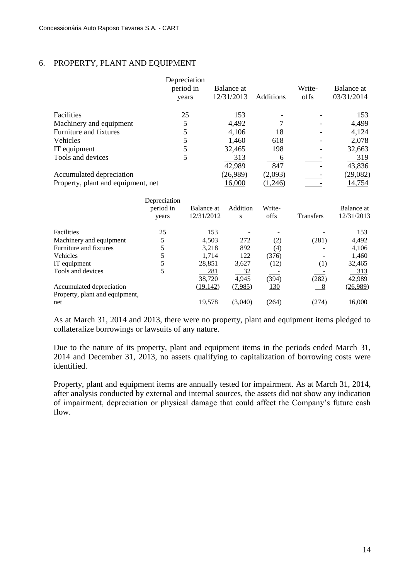# 6. PROPERTY, PLANT AND EQUIPMENT

|                                    | Depreciation<br>period in<br>years | Balance at<br>12/31/2013 | Additions | Write-<br>offs | Balance at<br>03/31/2014 |
|------------------------------------|------------------------------------|--------------------------|-----------|----------------|--------------------------|
| Facilities                         | 25                                 | 153                      |           |                | 153                      |
| Machinery and equipment            |                                    | 4,492                    |           |                | 4,499                    |
| Furniture and fixtures             |                                    | 4,106                    | 18        |                | 4,124                    |
| Vehicles                           |                                    | 1,460                    | 618       |                | 2,078                    |
| IT equipment                       |                                    | 32,465                   | 198       |                | 32,663                   |
| Tools and devices                  |                                    | 313                      |           |                | 319                      |
|                                    |                                    | 42,989                   | 847       |                | 43,836                   |
| Accumulated depreciation           |                                    | (26,989)                 | (2,093)   |                | (29,082)                 |
| Property, plant and equipment, net |                                    | 16,000                   | 1,246     |                | 14,754                   |

|                                | Depreciation<br>period in<br>years | Balance at<br>12/31/2012 | Addition<br>S | Write-<br>offs | <b>Transfers</b> | Balance at<br>12/31/2013 |
|--------------------------------|------------------------------------|--------------------------|---------------|----------------|------------------|--------------------------|
| <b>Facilities</b>              | 25                                 | 153                      |               |                |                  | 153                      |
| Machinery and equipment        |                                    | 4.503                    | 272           | (2)            | (281)            | 4,492                    |
| Furniture and fixtures         |                                    | 3.218                    | 892           | (4)            |                  | 4,106                    |
| <b>Vehicles</b>                |                                    | 1.714                    | 122           | (376)          |                  | 1,460                    |
| IT equipment                   |                                    | 28,851                   | 3,627         | (12)           | (1)              | 32,465                   |
| Tools and devices              | 5                                  | 281                      | <u>32</u>     |                |                  | 313                      |
|                                |                                    | 38,720                   | 4,945         | (394)          | (282)            | 42,989                   |
| Accumulated depreciation       |                                    | (19, 142)                | (7,985)       | <u>130</u>     | - 8              | (26,989)                 |
| Property, plant and equipment, |                                    |                          |               |                |                  |                          |
| net                            |                                    | 19,578                   | (3,040)       | (264)          | (274)            | 16,000                   |

As at March 31, 2014 and 2013, there were no property, plant and equipment items pledged to collateralize borrowings or lawsuits of any nature.

Due to the nature of its property, plant and equipment items in the periods ended March 31, 2014 and December 31, 2013, no assets qualifying to capitalization of borrowing costs were identified.

Property, plant and equipment items are annually tested for impairment. As at March 31, 2014, after analysis conducted by external and internal sources, the assets did not show any indication of impairment, depreciation or physical damage that could affect the Company's future cash flow.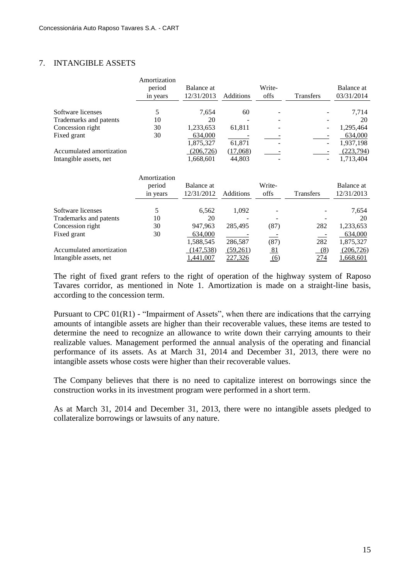# 7. INTANGIBLE ASSETS

|                          | Amortization<br>period | Balance at |           | Write- |                  | Balance at |
|--------------------------|------------------------|------------|-----------|--------|------------------|------------|
|                          | in years               | 12/31/2013 | Additions | offs   | <b>Transfers</b> | 03/31/2014 |
|                          |                        |            |           |        |                  |            |
| Software licenses        |                        | 7.654      | 60        |        |                  | 7,714      |
| Trademarks and patents   | 10                     | 20         |           |        |                  | 20         |
| Concession right         | 30                     | 1,233,653  | 61,811    |        |                  | 1,295,464  |
| Fixed grant              | 30                     | 634,000    |           |        |                  | 634,000    |
|                          |                        | 1,875,327  | 61,871    |        | -                | 1,937,198  |
| Accumulated amortization |                        | (206, 726) | (17,068)  |        |                  | (223,794)  |
| Intangible assets, net   |                        | 1,668,601  | 44,803    |        |                  | 1.713.404  |

|                          | Amortization<br>period<br>in years | Balance at<br>12/31/2012 | <b>Additions</b> | Write-<br>offs                | <b>Transfers</b> | Balance at<br>12/31/2013 |
|--------------------------|------------------------------------|--------------------------|------------------|-------------------------------|------------------|--------------------------|
|                          |                                    |                          |                  |                               |                  |                          |
| Software licenses        | 5                                  | 6,562                    | 1,092            |                               |                  | 7,654                    |
| Trademarks and patents   | 10                                 | 20                       |                  |                               |                  | 20                       |
| Concession right         | 30                                 | 947,963                  | 285,495          | (87)                          | 282              | 1,233,653                |
| Fixed grant              | 30                                 | 634,000                  |                  |                               |                  | 634,000                  |
|                          |                                    | 1,588,545                | 286,587          | (87)                          | 282              | 1,875,327                |
| Accumulated amortization |                                    | (147, 538)               | (59,261)         | <u>81</u>                     | (8)              | (206, 726)               |
| Intangible assets, net   |                                    | ,441,007                 | 227,326          | $\underline{\underline{(6)}}$ | 274              | 1,668,601                |

The right of fixed grant refers to the right of operation of the highway system of Raposo Tavares corridor, as mentioned in Note 1. Amortization is made on a straight-line basis, according to the concession term.

Pursuant to CPC 01(R1) - "Impairment of Assets", when there are indications that the carrying amounts of intangible assets are higher than their recoverable values, these items are tested to determine the need to recognize an allowance to write down their carrying amounts to their realizable values. Management performed the annual analysis of the operating and financial performance of its assets. As at March 31, 2014 and December 31, 2013, there were no intangible assets whose costs were higher than their recoverable values.

The Company believes that there is no need to capitalize interest on borrowings since the construction works in its investment program were performed in a short term.

As at March 31, 2014 and December 31, 2013, there were no intangible assets pledged to collateralize borrowings or lawsuits of any nature.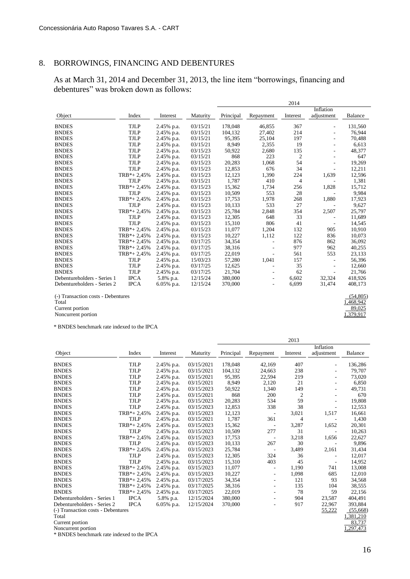# 8. BORROWINGS, FINANCING AND DEBENTURES

As at March 31, 2014 and December 31, 2013, the line item "borrowings, financing and debentures" was broken down as follows:

|                                    |                |            |          |           |           | 2014           |            |           |
|------------------------------------|----------------|------------|----------|-----------|-----------|----------------|------------|-----------|
|                                    |                |            |          |           |           |                | Inflation  |           |
| Object                             | Index          | Interest   | Maturity | Principal | Repayment | Interest       | adjustment | Balance   |
| <b>BNDES</b>                       | <b>TJLP</b>    | 2.45% p.a. | 03/15/21 | 178,048   | 46.855    | 367            |            | 131,560   |
| <b>BNDES</b>                       | <b>TJLP</b>    | 2.45% p.a. | 03/15/21 | 104,132   | 27,402    | 214            |            | 76,944    |
| <b>BNDES</b>                       | <b>TJLP</b>    | 2.45% p.a. | 03/15/21 | 95,395    | 25,104    | 197            |            | 70,488    |
| <b>BNDES</b>                       | <b>TJLP</b>    | 2.45% p.a. | 03/15/21 | 8,949     | 2,355     | 19             |            | 6,613     |
| <b>BNDES</b>                       | <b>TJLP</b>    | 2.45% p.a. | 03/15/23 | 50,922    | 2,680     | 135            |            | 48,377    |
| <b>BNDES</b>                       | <b>TJLP</b>    | 2.45% p.a. | 03/15/21 | 868       | 223       | $\overline{c}$ |            | 647       |
| <b>BNDES</b>                       | <b>TJLP</b>    | 2.45% p.a. | 03/15/23 | 20,283    | 1,068     | 54             | ÷,         | 19,269    |
| <b>BNDES</b>                       | <b>TJLP</b>    | 2.45% p.a. | 03/15/23 | 12,853    | 676       | 34             |            | 12,211    |
| <b>BNDES</b>                       | $TRB* + 2.45%$ | 2.45% p.a. | 03/15/23 | 12,123    | 1,390     | 224            | 1,639      | 12,596    |
| <b>BNDES</b>                       | <b>TJLP</b>    | 2.45% p.a. | 03/15/21 | 1,787     | 410       | $\overline{4}$ |            | 1,381     |
| <b>BNDES</b>                       | $TRB* + 2.45%$ | 2.45% p.a. | 03/15/23 | 15,362    | 1,734     | 256            | 1,828      | 15,712    |
| <b>BNDES</b>                       | <b>TJLP</b>    | 2.45% p.a. | 03/15/23 | 10,509    | 553       | 28             |            | 9,984     |
| <b>BNDES</b>                       | $TRB* + 2,45%$ | 2.45% p.a. | 03/15/23 | 17,753    | 1,978     | 268            | 1,880      | 17,923    |
| <b>BNDES</b>                       | <b>TJLP</b>    | 2.45% p.a. | 03/15/23 | 10,133    | 533       | 27             |            | 9,627     |
| <b>BNDES</b>                       | $TRB* + 2,45%$ | 2.45% p.a. | 03/15/23 | 25,784    | 2,848     | 354            | 2,507      | 25,797    |
| <b>BNDES</b>                       | <b>TJLP</b>    | 2.45% p.a. | 03/15/23 | 12,305    | 648       | 33             |            | 11,689    |
| <b>BNDES</b>                       | <b>TJLP</b>    | 2.45% p.a. | 03/15/23 | 15,310    | 806       | 41             |            | 14,545    |
| <b>BNDES</b>                       | $TRB* + 2,45%$ | 2.45% p.a. | 03/15/23 | 11,077    | 1,204     | 132            | 905        | 10,910    |
| <b>BNDES</b>                       | $TRB* + 2,45%$ | 2.45% p.a. | 03/15/23 | 10,227    | 1,112     | 122            | 836        | 10,073    |
| <b>BNDES</b>                       | $TRB* + 2,45%$ | 2.45% p.a. | 03/17/25 | 34,354    |           | 876            | 862        | 36,092    |
| <b>BNDES</b>                       | $TRB* + 2,45%$ | 2.45% p.a. | 03/17/25 | 38,316    |           | 977            | 962        | 40,255    |
| <b>BNDES</b>                       | $TRB* + 2,45%$ | 2.45% p.a. | 03/17/25 | 22,019    |           | 561            | 553        | 23,133    |
| <b>BNDES</b>                       | <b>TJLP</b>    | 2.45% p.a. | 15/03/23 | 57,280    | 1,041     | 157            | ä,         | 56,396    |
| <b>BNDES</b>                       | <b>TJLP</b>    | 2.45% p.a. | 03/17/25 | 12,625    |           | 35             |            | 12,660    |
| <b>BNDES</b>                       | <b>TJLP</b>    | 2.45% p.a. | 03/17/25 | 21,704    |           | 62             |            | 21,766    |
| Debentureholders - Series 1        | <b>IPCA</b>    | 5.8% p.a.  | 12/15/24 | 380,000   | ٠         | 6,602          | 32,324     | 418,926   |
| Debentureholders - Series 2        | <b>IPCA</b>    | 6.05% p.a. | 12/15/24 | 370,000   |           | 6,699          | 31,474     | 408,173   |
| (-) Transaction costs - Debentures |                |            |          |           |           |                |            | (54, 805) |
| Total                              |                |            |          |           |           |                |            | 1,468,942 |
| Current portion                    |                |            |          |           |           |                |            | 89,025    |
| Noncurrent portion                 |                |            |          |           |           |                |            | 1,379,917 |

\* BNDES benchmark rate indexed to the IPCA

|                                    |                |               |            |           |                          | 2013     |            |                |
|------------------------------------|----------------|---------------|------------|-----------|--------------------------|----------|------------|----------------|
|                                    |                |               |            |           |                          |          | Inflation  |                |
| Object                             | Index          | Interest      | Maturity   | Principal | Repayment                | Interest | adjustment | <b>Balance</b> |
| <b>BNDES</b>                       | <b>TJLP</b>    | 2.45% p.a.    | 03/15/2021 | 178,048   | 42,169                   | 407      |            | 136,286        |
| <b>BNDES</b>                       | <b>TJLP</b>    | 2.45% p.a.    | 03/15/2021 | 104,132   | 24,663                   | 238      |            | 79,707         |
| <b>BNDES</b>                       | <b>TJLP</b>    | 2.45% p.a.    | 03/15/2021 | 95,395    | 22,594                   | 219      |            | 73,020         |
| <b>BNDES</b>                       | <b>TJLP</b>    | 2.45% p.a.    | 03/15/2021 | 8,949     | 2,120                    | 21       |            | 6,850          |
| <b>BNDES</b>                       | <b>TJLP</b>    | 2.45% p.a.    | 03/15/2023 | 50,922    | 1,340                    | 149      |            | 49,731         |
| <b>BNDES</b>                       | <b>TJLP</b>    | 2.45% p.a.    | 03/15/2021 | 868       | 200                      | 2        |            | 670            |
| <b>BNDES</b>                       | <b>TJLP</b>    | 2.45% p.a.    | 03/15/2023 | 20,283    | 534                      | 59       |            | 19,808         |
| <b>BNDES</b>                       | <b>TJLP</b>    | 2.45% p.a.    | 03/15/2023 | 12,853    | 338                      | 38       |            | 12,553         |
| <b>BNDES</b>                       | $TRB* + 2,45%$ | 2.45% p.a.    | 03/15/2023 | 12,123    | $\overline{\phantom{a}}$ | 3,021    | 1,517      | 16,661         |
| <b>BNDES</b>                       | <b>TJLP</b>    | 2.45% p.a.    | 03/15/2021 | 1,787     | 361                      | 4        |            | 1,430          |
| <b>BNDES</b>                       | $TRB* + 2,45%$ | 2.45% p.a.    | 03/15/2023 | 15,362    | ٠                        | 3,287    | 1,652      | 20,301         |
| <b>BNDES</b>                       | <b>TJLP</b>    | 2.45% p.a.    | 03/15/2023 | 10,509    | 277                      | 31       |            | 10,263         |
| <b>BNDES</b>                       | $TRB* + 2,45%$ | 2.45% p.a.    | 03/15/2023 | 17,753    | ٠                        | 3,218    | 1,656      | 22,627         |
| <b>BNDES</b>                       | <b>TJLP</b>    | 2.45% p.a.    | 03/15/2023 | 10,133    | 267                      | 30       |            | 9,896          |
| <b>BNDES</b>                       | $TRB* + 2,45%$ | 2.45% p.a.    | 03/15/2023 | 25,784    | $\overline{\phantom{a}}$ | 3,489    | 2,161      | 31,434         |
| <b>BNDES</b>                       | TJLP           | 2.45% p.a.    | 03/15/2023 | 12,305    | 324                      | 36       |            | 12,017         |
| <b>BNDES</b>                       | <b>TJLP</b>    | 2.45% p.a.    | 03/15/2023 | 15,310    | 403                      | 45       |            | 14,952         |
| <b>BNDES</b>                       | $TRB* + 2,45%$ | 2.45% p.a.    | 03/15/2023 | 11,077    | $\overline{\phantom{m}}$ | 1,190    | 741        | 13,008         |
| <b>BNDES</b>                       | $TRB* + 2,45%$ | 2.45% p.a.    | 03/15/2023 | 10,227    | $\overline{\phantom{a}}$ | 1,098    | 685        | 12,010         |
| <b>BNDES</b>                       | $TRB* + 2,45%$ | 2.45% p.a.    | 03/17/2025 | 34,354    | $\overline{\phantom{a}}$ | 121      | 93         | 34,568         |
| <b>BNDES</b>                       | $TRB* + 2,45%$ | 2.45% p.a.    | 03/17/2025 | 38,316    | $\overline{\phantom{a}}$ | 135      | 104        | 38,555         |
| <b>BNDES</b>                       | $TRB* + 2,45%$ | 2.45% p.a.    | 03/17/2025 | 22,019    | ٠                        | 78       | 59         | 22,156         |
| Debentureholders - Series 1        | <b>IPCA</b>    | 5.8% p.a.     | 12/15/2024 | 380,000   | ٠                        | 904      | 23,587     | 404,491        |
| Debentureholders - Series 2        | <b>IPCA</b>    | $6.05\%$ p.a. | 12/15/2024 | 370,000   | ٠                        | 917      | 22,967     | 393,884        |
| (-) Transaction costs - Debentures |                |               |            |           |                          |          | 55,222     | (55,668)       |
| Total                              |                |               |            |           |                          |          |            | 1,381,210      |
| Current portion                    |                |               |            |           |                          |          |            | 83,737         |
| Noncurrent portion                 |                |               |            |           |                          |          |            | ,297,473       |

\* BNDES benchmark rate indexed to the IPCA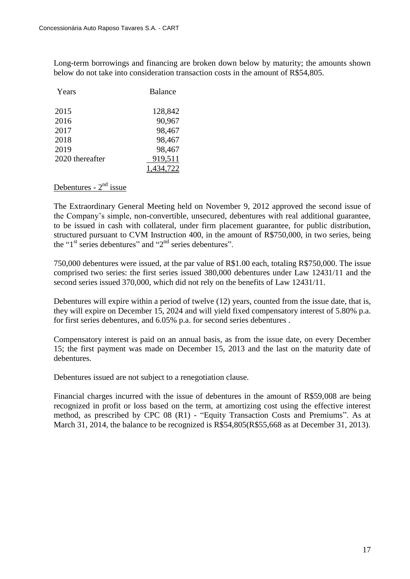Long-term borrowings and financing are broken down below by maturity; the amounts shown below do not take into consideration transaction costs in the amount of R\$54,805.

| Years           | <b>Balance</b> |
|-----------------|----------------|
| 2015            | 128,842        |
| 2016            | 90,967         |
| 2017            | 98,467         |
| 2018            | 98,467         |
| 2019            | 98,467         |
| 2020 thereafter | 919,511        |
|                 |                |

# Debentures - 2<sup>nd</sup> issue

The Extraordinary General Meeting held on November 9, 2012 approved the second issue of the Company's simple, non-convertible, unsecured, debentures with real additional guarantee, to be issued in cash with collateral, under firm placement guarantee, for public distribution, structured pursuant to CVM Instruction 400, in the amount of R\$750,000, in two series, being the " $1<sup>st</sup>$  series debentures" and " $2<sup>nd</sup>$  series debentures".

750,000 debentures were issued, at the par value of R\$1.00 each, totaling R\$750,000. The issue comprised two series: the first series issued 380,000 debentures under Law 12431/11 and the second series issued 370,000, which did not rely on the benefits of Law 12431/11.

Debentures will expire within a period of twelve (12) years, counted from the issue date, that is, they will expire on December 15, 2024 and will yield fixed compensatory interest of 5.80% p.a. for first series debentures, and 6.05% p.a. for second series debentures .

Compensatory interest is paid on an annual basis, as from the issue date, on every December 15; the first payment was made on December 15, 2013 and the last on the maturity date of debentures.

Debentures issued are not subject to a renegotiation clause.

Financial charges incurred with the issue of debentures in the amount of R\$59,008 are being recognized in profit or loss based on the term, at amortizing cost using the effective interest method, as prescribed by CPC 08 (R1) - "Equity Transaction Costs and Premiums". As at March 31, 2014, the balance to be recognized is R\$54,805(R\$55,668 as at December 31, 2013).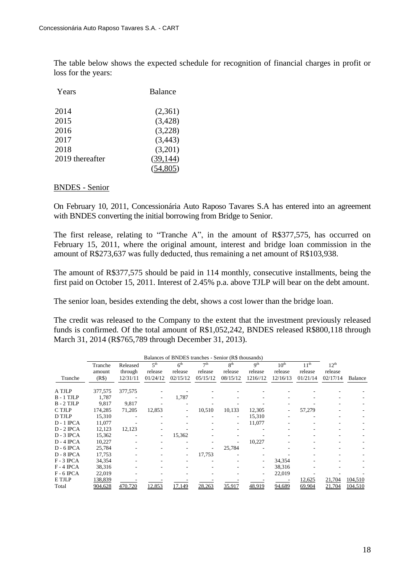The table below shows the expected schedule for recognition of financial charges in profit or loss for the years:

| Years           | <b>Balance</b> |
|-----------------|----------------|
| 2014            | (2,361)        |
| 2015            | (3, 428)       |
| 2016            | (3,228)        |
| 2017            | (3, 443)       |
| 2018            | (3,201)        |
| 2019 thereafter | (39, 144)      |
|                 |                |

#### BNDES - Senior

On February 10, 2011, Concessionária Auto Raposo Tavares S.A has entered into an agreement with BNDES converting the initial borrowing from Bridge to Senior.

The first release, relating to "Tranche A", in the amount of R\$377,575, has occurred on February 15, 2011, where the original amount, interest and bridge loan commission in the amount of R\$273,637 was fully deducted, thus remaining a net amount of R\$103,938.

The amount of R\$377,575 should be paid in 114 monthly, consecutive installments, being the first paid on October 15, 2011. Interest of 2.45% p.a. above TJLP will bear on the debt amount.

The senior loan, besides extending the debt, shows a cost lower than the bridge loan.

The credit was released to the Company to the extent that the investment previously released funds is confirmed. Of the total amount of R\$1,052,242, BNDES released R\$800,118 through March 31, 2014 (R\$765,789 through December 31, 2013).

| Balances of BNDES tranches - Senior (R\$ thousands) |         |          |                 |                 |                 |                 |                 |                  |                  |                  |         |
|-----------------------------------------------------|---------|----------|-----------------|-----------------|-----------------|-----------------|-----------------|------------------|------------------|------------------|---------|
|                                                     | Tranche | Released | 5 <sup>th</sup> | 6 <sup>th</sup> | 7 <sup>th</sup> | 8 <sup>th</sup> | q <sup>th</sup> | $10^{\text{th}}$ | 11 <sup>th</sup> | 12 <sup>th</sup> |         |
|                                                     | amount  | through  | release         | release         | release         | release         | release         | release          | release          | release          |         |
| Tranche                                             | (R\$)   | 12/31/11 | 01/24/12        | 02/15/12        | 05/15/12        | 08/15/12        | 1216//12        | 12/16/13         | 01/21/14         | 02/17/14         | Balance |
|                                                     |         |          |                 |                 |                 |                 |                 |                  |                  |                  |         |
| A TJLP                                              | 377,575 | 377,575  |                 |                 |                 |                 |                 |                  |                  |                  |         |
| B-1 TJLP                                            | 1,787   |          |                 | 1,787           |                 |                 |                 |                  |                  |                  |         |
| $B - 2$ TJLP                                        | 9.817   | 9.817    |                 |                 |                 |                 |                 |                  |                  |                  |         |
| C TJLP                                              | 174,285 | 71,205   | 12,853          |                 | 10,510          | 10,133          | 12,305          |                  | 57,279           |                  |         |
| D TJLP                                              | 15,310  |          |                 |                 |                 |                 | 15,310          |                  |                  |                  |         |
| $D - 1$ IPCA                                        | 11,077  |          |                 |                 |                 |                 | 11,077          |                  |                  |                  |         |
| $D - 2$ IPCA                                        | 12,123  | 12,123   |                 |                 |                 |                 |                 |                  |                  |                  |         |
| $D - 3$ IPCA                                        | 15,362  |          | ٠               | 15,362          |                 |                 |                 |                  |                  |                  |         |
| $D - 4$ IPCA                                        | 10,227  |          |                 |                 |                 |                 | 10,227          |                  |                  |                  |         |
| $D - 6$ IPCA                                        | 25,784  |          |                 |                 |                 | 25,784          |                 |                  |                  |                  |         |
| $D - 8$ IPCA                                        | 17,753  |          |                 |                 | 17,753          |                 |                 |                  |                  |                  |         |
| $F - 3$ IPCA                                        | 34,354  |          |                 |                 |                 |                 |                 | 34,354           |                  |                  |         |
| $F - 4$ IPCA                                        | 38,316  |          |                 |                 |                 |                 |                 | 38,316           |                  |                  |         |
| $F - 6$ IPCA                                        | 22,019  |          |                 |                 |                 |                 |                 | 22,019           |                  |                  |         |
| E TJLP                                              | 138,839 |          |                 |                 |                 |                 |                 |                  | 12,625           | 21,704           | 104,510 |
| Total                                               | 904,628 | 470,720  | 12,853          | 17,149          | 28,263          | 35,917          | 48,919          | 94,689           | 69,904           | 21,704           | 104,510 |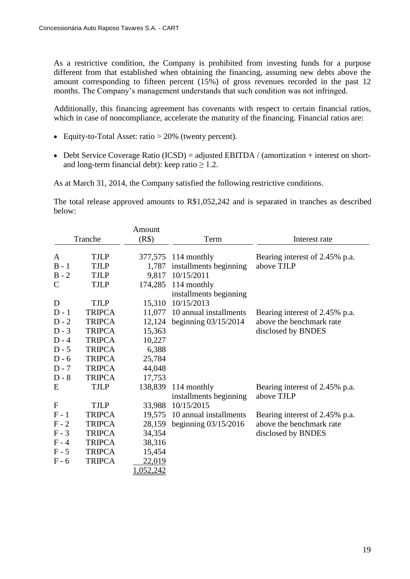As a restrictive condition, the Company is prohibited from investing funds for a purpose different from that established when obtaining the financing, assuming new debts above the amount corresponding to fifteen percent (15%) of gross revenues recorded in the past 12 months. The Company's management understands that such condition was not infringed.

Additionally, this financing agreement has covenants with respect to certain financial ratios, which in case of noncompliance, accelerate the maturity of the financing. Financial ratios are:

- Equity-to-Total Asset: ratio > 20% (twenty percent).
- Debt Service Coverage Ratio (ICSD) = adjusted EBITDA / (amortization + interest on shortand long-term financial debt): keep ratio  $\geq 1.2$ .

As at March 31, 2014, the Company satisfied the following restrictive conditions.

The total release approved amounts to R\$1,052,242 and is separated in tranches as described below:

|              |               | Amount    |                        |                                |
|--------------|---------------|-----------|------------------------|--------------------------------|
|              | Tranche       | (R\$)     | Term                   | Interest rate                  |
| A            | <b>TJLP</b>   |           | 377,575 114 monthly    | Bearing interest of 2.45% p.a. |
| $B - 1$      | <b>TJLP</b>   | 1,787     | installments beginning | above TJLP                     |
| $B - 2$      | <b>TJLP</b>   | 9,817     | 10/15/2011             |                                |
| $\mathsf{C}$ | <b>TJLP</b>   | 174,285   | 114 monthly            |                                |
|              |               |           | installments beginning |                                |
| D            | <b>TJLP</b>   | 15,310    | 10/15/2013             |                                |
| $D-1$        | <b>TRIPCA</b> | 11,077    | 10 annual installments | Bearing interest of 2.45% p.a. |
| $D - 2$      | <b>TRIPCA</b> | 12,124    | beginning $03/15/2014$ | above the benchmark rate       |
| $D-3$        | <b>TRIPCA</b> | 15,363    |                        | disclosed by BNDES             |
| $D - 4$      | <b>TRIPCA</b> | 10,227    |                        |                                |
| $D - 5$      | <b>TRIPCA</b> | 6,388     |                        |                                |
| $D - 6$      | <b>TRIPCA</b> | 25,784    |                        |                                |
| $D - 7$      | <b>TRIPCA</b> | 44,048    |                        |                                |
| $D - 8$      | <b>TRIPCA</b> | 17,753    |                        |                                |
| E            | <b>TJLP</b>   | 138,839   | 114 monthly            | Bearing interest of 2.45% p.a. |
|              |               |           | installments beginning | above TJLP                     |
| $\mathbf{F}$ | <b>TJLP</b>   | 33,988    | 10/15/2015             |                                |
| $F - 1$      | <b>TRIPCA</b> | 19,575    | 10 annual installments | Bearing interest of 2.45% p.a. |
| $F - 2$      | <b>TRIPCA</b> | 28,159    | beginning $03/15/2016$ | above the benchmark rate       |
| $F - 3$      | <b>TRIPCA</b> | 34,354    |                        | disclosed by BNDES             |
| $F - 4$      | <b>TRIPCA</b> | 38,316    |                        |                                |
| $F - 5$      | <b>TRIPCA</b> | 15,454    |                        |                                |
| $F - 6$      | <b>TRIPCA</b> | 22,019    |                        |                                |
|              |               | 1,052,242 |                        |                                |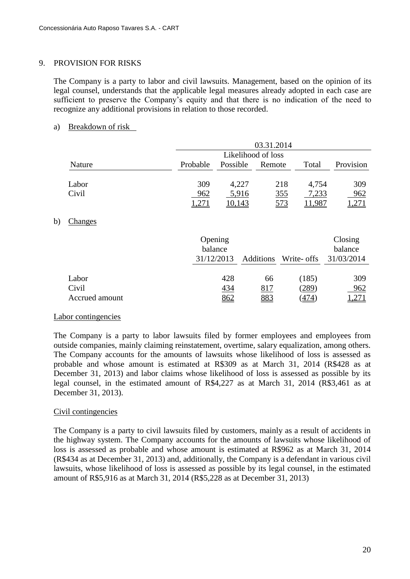#### 9. PROVISION FOR RISKS

The Company is a party to labor and civil lawsuits. Management, based on the opinion of its legal counsel, understands that the applicable legal measures already adopted in each case are sufficient to preserve the Company's equity and that there is no indication of the need to recognize any additional provisions in relation to those recorded.

# a) Breakdown of risk

|                |                    | 03.31.2014         |           |               |                    |  |  |  |  |  |
|----------------|--------------------|--------------------|-----------|---------------|--------------------|--|--|--|--|--|
|                |                    | Likelihood of loss |           |               |                    |  |  |  |  |  |
| Nature         | Probable           | Possible           | Remote    | Total         | Provision          |  |  |  |  |  |
| Labor          | 309                | 4,227              |           | 218<br>4,754  | 309                |  |  |  |  |  |
| Civil          | 962                | 5,916              |           | 355<br>7,233  | 962                |  |  |  |  |  |
|                | 1,271              | 10,143             |           | 573<br>11,987 | 1,271              |  |  |  |  |  |
| <b>Changes</b> |                    |                    |           |               |                    |  |  |  |  |  |
|                | Opening<br>balance |                    |           |               | Closing<br>balance |  |  |  |  |  |
|                | 31/12/2013         |                    | Additions | Write- offs   | 31/03/2014         |  |  |  |  |  |
| Labor          |                    | 428                | 66        | (185)         | 309                |  |  |  |  |  |
| Civil          |                    | 434                | 817       | (289)         | 962                |  |  |  |  |  |
| Accrued amount |                    | 862                | 883       | (474)         | ,271               |  |  |  |  |  |

#### Labor contingencies

 $b)$ 

The Company is a party to labor lawsuits filed by former employees and employees from outside companies, mainly claiming reinstatement, overtime, salary equalization, among others. The Company accounts for the amounts of lawsuits whose likelihood of loss is assessed as probable and whose amount is estimated at R\$309 as at March 31, 2014 (R\$428 as at December 31, 2013) and labor claims whose likelihood of loss is assessed as possible by its legal counsel, in the estimated amount of R\$4,227 as at March 31, 2014 (R\$3,461 as at December 31, 2013).

#### Civil contingencies

The Company is a party to civil lawsuits filed by customers, mainly as a result of accidents in the highway system. The Company accounts for the amounts of lawsuits whose likelihood of loss is assessed as probable and whose amount is estimated at R\$962 as at March 31, 2014 (R\$434 as at December 31, 2013) and, additionally, the Company is a defendant in various civil lawsuits, whose likelihood of loss is assessed as possible by its legal counsel, in the estimated amount of R\$5,916 as at March 31, 2014 (R\$5,228 as at December 31, 2013)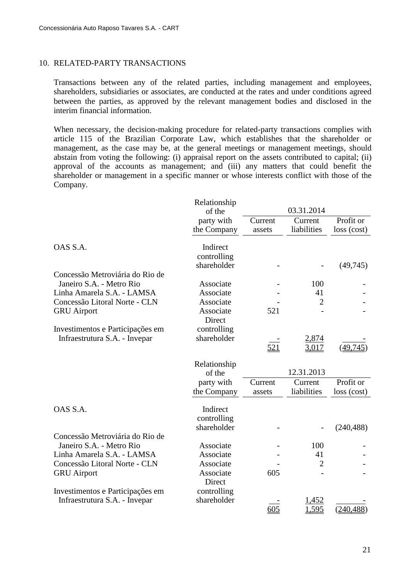## 10. RELATED-PARTY TRANSACTIONS

Transactions between any of the related parties, including management and employees, shareholders, subsidiaries or associates, are conducted at the rates and under conditions agreed between the parties, as approved by the relevant management bodies and disclosed in the interim financial information.

When necessary, the decision-making procedure for related-party transactions complies with article 115 of the Brazilian Corporate Law, which establishes that the shareholder or management, as the case may be, at the general meetings or management meetings, should abstain from voting the following: (i) appraisal report on the assets contributed to capital; (ii) approval of the accounts as management; and (iii) any matters that could benefit the shareholder or management in a specific manner or whose interests conflict with those of the Company.

|                                  | Relationship |         | 03.31.2014     |             |
|----------------------------------|--------------|---------|----------------|-------------|
|                                  | of the       |         |                |             |
|                                  | party with   | Current | Current        | Profit or   |
|                                  | the Company  | assets  | liabilities    | loss (cost) |
| OAS S.A.                         | Indirect     |         |                |             |
|                                  | controlling  |         |                |             |
|                                  | shareholder  |         |                | (49, 745)   |
| Concessão Metroviária do Rio de  |              |         |                |             |
| Janeiro S.A. - Metro Rio         | Associate    |         | 100            |             |
| Linha Amarela S.A. - LAMSA       | Associate    |         | 41             |             |
| Concessão Litoral Norte - CLN    | Associate    |         | $\overline{2}$ |             |
| <b>GRU</b> Airport               | Associate    | 521     |                |             |
|                                  | Direct       |         |                |             |
| Investimentos e Participações em | controlling  |         |                |             |
| Infraestrutura S.A. - Invepar    | shareholder  |         | <u>2,874</u>   |             |
|                                  |              | 521     | 3,017          | (49, 745)   |
|                                  | Relationship |         |                |             |
|                                  | of the       |         | 12.31.2013     |             |
|                                  | party with   | Current | Current        | Profit or   |
|                                  | the Company  | assets  | liabilities    | loss (cost) |
|                                  |              |         |                |             |
| OAS S.A.                         | Indirect     |         |                |             |
|                                  | controlling  |         |                |             |
|                                  | shareholder  |         |                | (240, 488)  |
| Concessão Metroviária do Rio de  |              |         |                |             |
| Janeiro S.A. - Metro Rio         | Associate    |         | 100            |             |
| Linha Amarela S.A. - LAMSA       | Associate    |         | 41             |             |
| Concessão Litoral Norte - CLN    | Associate    |         | $\overline{2}$ |             |
| <b>GRU</b> Airport               | Associate    | 605     |                |             |
|                                  | Direct       |         |                |             |
| Investimentos e Participações em | controlling  |         |                |             |
| Infraestrutura S.A. - Invepar    | shareholder  |         | 1,452          |             |
|                                  |              | 605     | .595           | (240, 488)  |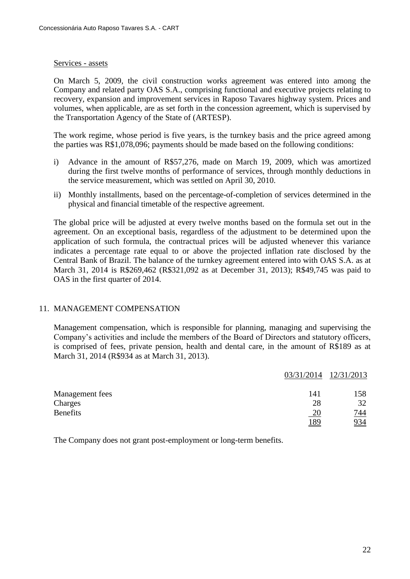#### Services - assets

On March 5, 2009, the civil construction works agreement was entered into among the Company and related party OAS S.A., comprising functional and executive projects relating to recovery, expansion and improvement services in Raposo Tavares highway system. Prices and volumes, when applicable, are as set forth in the concession agreement, which is supervised by the Transportation Agency of the State of (ARTESP).

The work regime, whose period is five years, is the turnkey basis and the price agreed among the parties was R\$1,078,096; payments should be made based on the following conditions:

- i) Advance in the amount of R\$57,276, made on March 19, 2009, which was amortized during the first twelve months of performance of services, through monthly deductions in the service measurement, which was settled on April 30, 2010.
- ii) Monthly installments, based on the percentage-of-completion of services determined in the physical and financial timetable of the respective agreement.

The global price will be adjusted at every twelve months based on the formula set out in the agreement. On an exceptional basis, regardless of the adjustment to be determined upon the application of such formula, the contractual prices will be adjusted whenever this variance indicates a percentage rate equal to or above the projected inflation rate disclosed by the Central Bank of Brazil. The balance of the turnkey agreement entered into with OAS S.A. as at March 31, 2014 is R\$269,462 (R\$321,092 as at December 31, 2013); R\$49,745 was paid to OAS in the first quarter of 2014.

#### 11. MANAGEMENT COMPENSATION

Management compensation, which is responsible for planning, managing and supervising the Company's activities and include the members of the Board of Directors and statutory officers, is comprised of fees, private pension, health and dental care, in the amount of R\$189 as at March 31, 2014 (R\$934 as at March 31, 2013).

|                 | 03/31/2014  | 12/31/2013 |
|-----------------|-------------|------------|
| Management fees | 141         | 158        |
| Charges         | 28          | 32         |
| <b>Benefits</b> | <u> 20</u>  | <u>744</u> |
|                 | <u> 189</u> | 934        |

The Company does not grant post-employment or long-term benefits.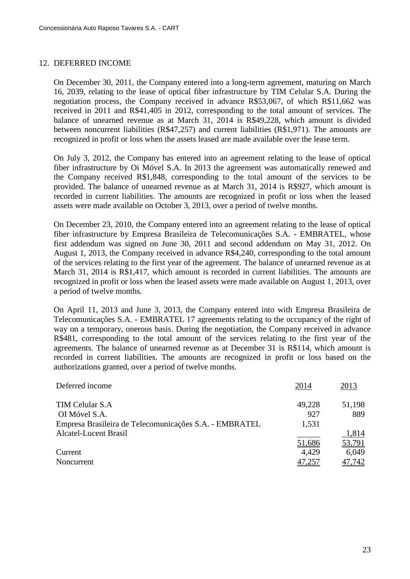# 12. DEFERRED INCOME

On December 30, 2011, the Company entered into a long-term agreement, maturing on March 16, 2039, relating to the lease of optical fiber infrastructure by TIM Celular S.A. During the negotiation process, the Company received in advance R\$53,067, of which R\$11,662 was received in 2011 and R\$41,405 in 2012, corresponding to the total amount of services. The balance of unearned revenue as at March 31, 2014 is R\$49,228, which amount is divided between noncurrent liabilities (R\$47,257) and current liabilities (R\$1,971). The amounts are recognized in profit or loss when the assets leased are made available over the lease term.

On July 3, 2012, the Company has entered into an agreement relating to the lease of optical fiber infrastructure by Oi Móvel S.A. In 2013 the agreement was automatically renewed and the Company received R\$1,848, corresponding to the total amount of the services to be provided. The balance of unearned revenue as at March 31, 2014 is R\$927, which amount is recorded in current liabilities. The amounts are recognized in profit or loss when the leased assets were made available on October 3, 2013, over a period of twelve months.

On December 23, 2010, the Company entered into an agreement relating to the lease of optical fiber infrastructure by Empresa Brasileira de Telecomunicações S.A. - EMBRATEL, whose first addendum was signed on June 30, 2011 and second addendum on May 31, 2012. On August 1, 2013, the Company received in advance R\$4,240, corresponding to the total amount of the services relating to the first year of the agreement. The balance of unearned revenue as at March 31, 2014 is R\$1,417, which amount is recorded in current liabilities. The amounts are recognized in profit or loss when the leased assets were made available on August 1, 2013, over a period of twelve months.

On April 11, 2013 and June 3, 2013, the Company entered into with Empresa Brasileira de Telecomunicações S.A. - EMBRATEL 17 agreements relating to the occupancy of the right of way on a temporary, onerous basis. During the negotiation, the Company received in advance R\$481, corresponding to the total amount of the services relating to the first year of the agreements. The balance of unearned revenue as at December 31 is R\$114, which amount is recorded in current liabilities. The amounts are recognized in profit or loss based on the authorizations granted, over a period of twelve months.

| Deferred income                                        | 2014   | 2013   |
|--------------------------------------------------------|--------|--------|
| TIM Celular S.A                                        | 49,228 | 51,198 |
| OI Móvel S.A.                                          | 927    | 889    |
| Empresa Brasileira de Telecomunicações S.A. - EMBRATEL | 1,531  |        |
| <b>Alcatel-Lucent Brasil</b>                           |        | 1,814  |
|                                                        | 51,686 | 53,791 |
| Current                                                | 4.429  | 6,049  |
| Noncurrent                                             | 47,257 | 47,742 |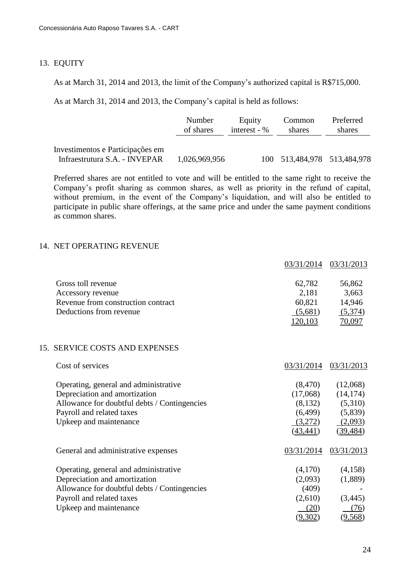#### 13. EQUITY

As at March 31, 2014 and 2013, the limit of the Company's authorized capital is R\$715,000.

As at March 31, 2014 and 2013, the Company's capital is held as follows:

|                                                                   | Number        | Equity         | Common                      | Preferred |
|-------------------------------------------------------------------|---------------|----------------|-----------------------------|-----------|
|                                                                   | of shares     | interest - $%$ | shares                      | shares    |
| Investimentos e Participações em<br>Infraestrutura S.A. - INVEPAR | 1,026,969,956 |                | 100 513,484,978 513,484,978 |           |

Preferred shares are not entitled to vote and will be entitled to the same right to receive the Company's profit sharing as common shares, as well as priority in the refund of capital, without premium, in the event of the Company's liquidation, and will also be entitled to participate in public share offerings, at the same price and under the same payment conditions as common shares.

# 14. NET OPERATING REVENUE

|                                              | 03/31/2014 | 03/31/2013 |
|----------------------------------------------|------------|------------|
| Gross toll revenue                           | 62,782     | 56,862     |
| Accessory revenue                            | 2,181      | 3,663      |
| Revenue from construction contract           | 60,821     | 14,946     |
| Deductions from revenue                      | (5,681)    | (5,374)    |
|                                              | 120,103    | 70,097     |
| 15. SERVICE COSTS AND EXPENSES               |            |            |
| Cost of services                             | 03/31/2014 | 03/31/2013 |
| Operating, general and administrative        | (8,470)    | (12,068)   |
| Depreciation and amortization                | (17,068)   | (14, 174)  |
| Allowance for doubtful debts / Contingencies | (8,132)    | (5,310)    |
| Payroll and related taxes                    | (6,499)    | (5,839)    |
| Upkeep and maintenance                       | (3,272)    | (2,093)    |
|                                              | (43, 441)  | (39, 484)  |
| General and administrative expenses          | 03/31/2014 | 03/31/2013 |
| Operating, general and administrative        | (4,170)    | (4,158)    |
| Depreciation and amortization                | (2,093)    | (1,889)    |
| Allowance for doubtful debts / Contingencies | (409)      |            |
| Payroll and related taxes                    | (2,610)    | (3,445)    |
| Upkeep and maintenance                       | (20)       | (76)       |
|                                              | (9,302)    | (9,568)    |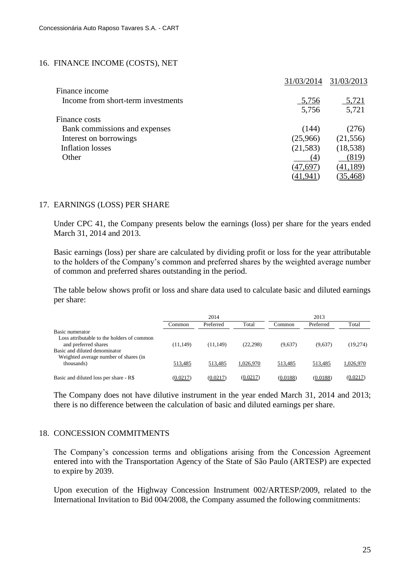#### 16. FINANCE INCOME (COSTS), NET

|                                    | 31/03/2014 | 31/03/2013     |
|------------------------------------|------------|----------------|
| Finance income                     |            |                |
| Income from short-term investments | 5,756      | 5,721          |
|                                    | 5,756      | 5,721          |
| Finance costs                      |            |                |
| Bank commissions and expenses      | (144)      | (276)          |
| Interest on borrowings             | (25,966)   | (21, 556)      |
| <b>Inflation losses</b>            | (21, 583)  | (18, 538)      |
| Other                              | (4)        | (819)          |
|                                    | (47,697    | (41,189)       |
|                                    |            | <u>35,468)</u> |

#### 17. EARNINGS (LOSS) PER SHARE

Under CPC 41, the Company presents below the earnings (loss) per share for the years ended March 31, 2014 and 2013.

Basic earnings (loss) per share are calculated by dividing profit or loss for the year attributable to the holders of the Company's common and preferred shares by the weighted average number of common and preferred shares outstanding in the period.

The table below shows profit or loss and share data used to calculate basic and diluted earnings per share:

|                                                                                       | 2014      |           | 2013      |          |           |           |
|---------------------------------------------------------------------------------------|-----------|-----------|-----------|----------|-----------|-----------|
|                                                                                       | Common    | Preferred | Total     | Common   | Preferred | Total     |
| Basic numerator<br>Loss attributable to the holders of common<br>and preferred shares | (11, 149) | (11,149)  | (22, 298) | (9,637)  | (9,637)   | (19,274)  |
| Basic and diluted denominator<br>Weighted average number of shares (in<br>thousands)  | 513,485   | 513,485   | 1.026.970 | 513,485  | 513,485   | 1,026,970 |
| Basic and diluted loss per share - R\$                                                | (0.0217)  | (0.0217)  | (0.0217)  | (0.0188) | (0.0188)  | (0.0217)  |

The Company does not have dilutive instrument in the year ended March 31, 2014 and 2013; there is no difference between the calculation of basic and diluted earnings per share.

#### 18. CONCESSION COMMITMENTS

The Company's concession terms and obligations arising from the Concession Agreement entered into with the Transportation Agency of the State of São Paulo (ARTESP) are expected to expire by 2039.

Upon execution of the Highway Concession Instrument 002/ARTESP/2009, related to the International Invitation to Bid 004/2008, the Company assumed the following commitments: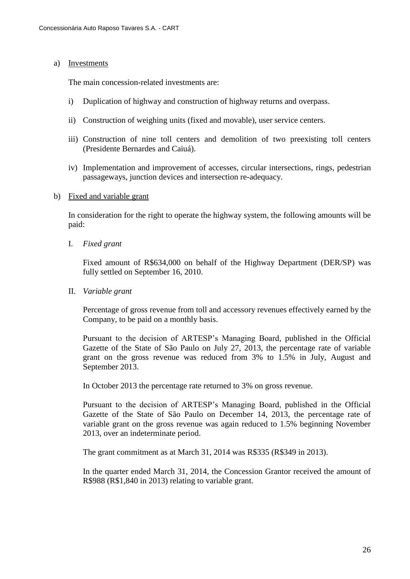#### a) Investments

The main concession-related investments are:

- i) Duplication of highway and construction of highway returns and overpass.
- ii) Construction of weighing units (fixed and movable), user service centers.
- iii) Construction of nine toll centers and demolition of two preexisting toll centers (Presidente Bernardes and Caiuá).
- iv) Implementation and improvement of accesses, circular intersections, rings, pedestrian passageways, junction devices and intersection re-adequacy.

#### b) Fixed and variable grant

In consideration for the right to operate the highway system, the following amounts will be paid:

I. *Fixed grant*

Fixed amount of R\$634,000 on behalf of the Highway Department (DER/SP) was fully settled on September 16, 2010.

II. *Variable grant*

Percentage of gross revenue from toll and accessory revenues effectively earned by the Company, to be paid on a monthly basis.

Pursuant to the decision of ARTESP's Managing Board, published in the Official Gazette of the State of São Paulo on July 27, 2013, the percentage rate of variable grant on the gross revenue was reduced from 3% to 1.5% in July, August and September 2013.

In October 2013 the percentage rate returned to 3% on gross revenue.

Pursuant to the decision of ARTESP's Managing Board, published in the Official Gazette of the State of São Paulo on December 14, 2013, the percentage rate of variable grant on the gross revenue was again reduced to 1.5% beginning November 2013, over an indeterminate period.

The grant commitment as at March 31, 2014 was R\$335 (R\$349 in 2013).

In the quarter ended March 31, 2014, the Concession Grantor received the amount of R\$988 (R\$1,840 in 2013) relating to variable grant.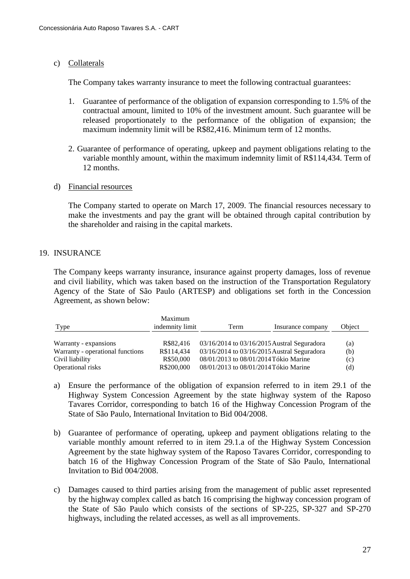# c) Collaterals

The Company takes warranty insurance to meet the following contractual guarantees:

- 1. Guarantee of performance of the obligation of expansion corresponding to 1.5% of the contractual amount, limited to 10% of the investment amount. Such guarantee will be released proportionately to the performance of the obligation of expansion; the maximum indemnity limit will be R\$82,416. Minimum term of 12 months.
- 2. Guarantee of performance of operating, upkeep and payment obligations relating to the variable monthly amount, within the maximum indemnity limit of R\$114,434. Term of 12 months.

# d) Financial resources

The Company started to operate on March 17, 2009. The financial resources necessary to make the investments and pay the grant will be obtained through capital contribution by the shareholder and raising in the capital markets.

# 19. INSURANCE

The Company keeps warranty insurance, insurance against property damages, loss of revenue and civil liability, which was taken based on the instruction of the Transportation Regulatory Agency of the State of São Paulo (ARTESP) and obligations set forth in the Concession Agreement, as shown below:

| Type                             | Maximum<br>indemnity limit | Term                                        | Insurance company | Object |
|----------------------------------|----------------------------|---------------------------------------------|-------------------|--------|
| Warranty - expansions            | R\$82,416                  | 03/16/2014 to 03/16/2015 Austral Seguradora |                   | (a)    |
| Warranty - operational functions | R\$114,434                 | 03/16/2014 to 03/16/2015 Austral Seguradora |                   | (b)    |
| Civil liability                  | R\$50,000                  | 08/01/2013 to 08/01/2014 Tókio Marine       |                   | (c)    |
| Operational risks                | R\$200,000                 | 08/01/2013 to 08/01/2014 Tókio Marine       |                   | (d)    |

- a) Ensure the performance of the obligation of expansion referred to in item 29.1 of the Highway System Concession Agreement by the state highway system of the Raposo Tavares Corridor, corresponding to batch 16 of the Highway Concession Program of the State of São Paulo, International Invitation to Bid 004/2008.
- b) Guarantee of performance of operating, upkeep and payment obligations relating to the variable monthly amount referred to in item 29.1.a of the Highway System Concession Agreement by the state highway system of the Raposo Tavares Corridor, corresponding to batch 16 of the Highway Concession Program of the State of São Paulo, International Invitation to Bid 004/2008.
- c) Damages caused to third parties arising from the management of public asset represented by the highway complex called as batch 16 comprising the highway concession program of the State of São Paulo which consists of the sections of SP-225, SP-327 and SP-270 highways, including the related accesses, as well as all improvements.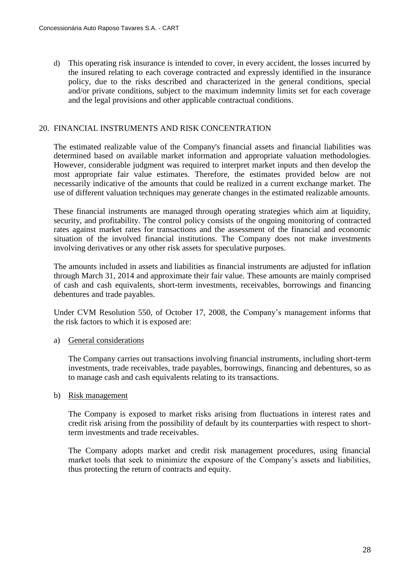d) This operating risk insurance is intended to cover, in every accident, the losses incurred by the insured relating to each coverage contracted and expressly identified in the insurance policy, due to the risks described and characterized in the general conditions, special and/or private conditions, subject to the maximum indemnity limits set for each coverage and the legal provisions and other applicable contractual conditions.

# 20. FINANCIAL INSTRUMENTS AND RISK CONCENTRATION

The estimated realizable value of the Company's financial assets and financial liabilities was determined based on available market information and appropriate valuation methodologies. However, considerable judgment was required to interpret market inputs and then develop the most appropriate fair value estimates. Therefore, the estimates provided below are not necessarily indicative of the amounts that could be realized in a current exchange market. The use of different valuation techniques may generate changes in the estimated realizable amounts.

These financial instruments are managed through operating strategies which aim at liquidity, security, and profitability. The control policy consists of the ongoing monitoring of contracted rates against market rates for transactions and the assessment of the financial and economic situation of the involved financial institutions. The Company does not make investments involving derivatives or any other risk assets for speculative purposes.

The amounts included in assets and liabilities as financial instruments are adjusted for inflation through March 31, 2014 and approximate their fair value. These amounts are mainly comprised of cash and cash equivalents, short-term investments, receivables, borrowings and financing debentures and trade payables.

Under CVM Resolution 550, of October 17, 2008, the Company's management informs that the risk factors to which it is exposed are:

#### a) General considerations

The Company carries out transactions involving financial instruments, including short-term investments, trade receivables, trade payables, borrowings, financing and debentures, so as to manage cash and cash equivalents relating to its transactions.

#### b) Risk management

The Company is exposed to market risks arising from fluctuations in interest rates and credit risk arising from the possibility of default by its counterparties with respect to shortterm investments and trade receivables.

The Company adopts market and credit risk management procedures, using financial market tools that seek to minimize the exposure of the Company's assets and liabilities, thus protecting the return of contracts and equity.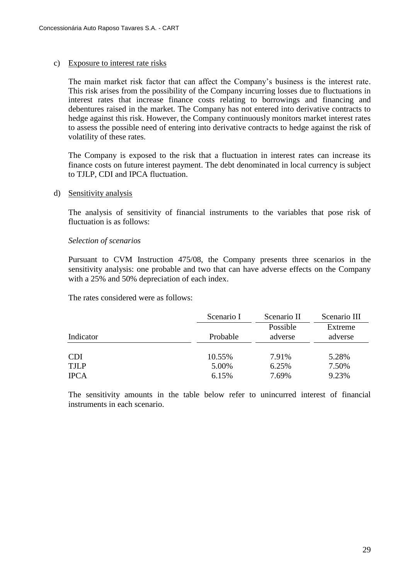#### c) Exposure to interest rate risks

The main market risk factor that can affect the Company's business is the interest rate. This risk arises from the possibility of the Company incurring losses due to fluctuations in interest rates that increase finance costs relating to borrowings and financing and debentures raised in the market. The Company has not entered into derivative contracts to hedge against this risk. However, the Company continuously monitors market interest rates to assess the possible need of entering into derivative contracts to hedge against the risk of volatility of these rates.

The Company is exposed to the risk that a fluctuation in interest rates can increase its finance costs on future interest payment. The debt denominated in local currency is subject to TJLP, CDI and IPCA fluctuation.

#### d) Sensitivity analysis

The analysis of sensitivity of financial instruments to the variables that pose risk of fluctuation is as follows:

#### *Selection of scenarios*

Pursuant to CVM Instruction 475/08, the Company presents three scenarios in the sensitivity analysis: one probable and two that can have adverse effects on the Company with a 25% and 50% depreciation of each index.

The rates considered were as follows:

|             | Scenario I | Scenario II | Scenario III |
|-------------|------------|-------------|--------------|
|             |            | Possible    | Extreme      |
| Indicator   | Probable   | adverse     | adverse      |
| <b>CDI</b>  | 10.55%     | 7.91%       | 5.28%        |
| <b>TJLP</b> | 5.00%      | 6.25%       | 7.50%        |
| <b>IPCA</b> | 6.15%      | 7.69%       | 9.23%        |

The sensitivity amounts in the table below refer to unincurred interest of financial instruments in each scenario.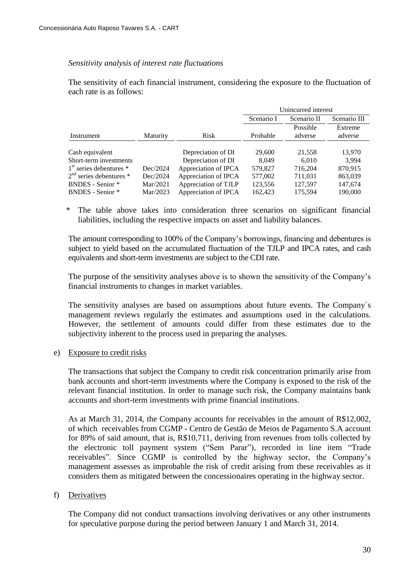#### *Sensitivity analysis of interest rate fluctuations*

The sensitivity of each financial instrument, considering the exposure to the fluctuation of each rate is as follows:

|                             |                 |                      | Unincurred interest                       |          |         |
|-----------------------------|-----------------|----------------------|-------------------------------------------|----------|---------|
|                             |                 |                      | Scenario III<br>Scenario I<br>Scenario II |          |         |
|                             |                 |                      |                                           | Possible | Extreme |
| Instrument                  | <b>Maturity</b> | Risk                 | Probable                                  | adverse  | adverse |
|                             |                 |                      |                                           |          |         |
| Cash equivalent             |                 | Depreciation of DI   | 29,600                                    | 21,558   | 13,970  |
| Short-term investments      |                 | Depreciation of DI   | 8.049                                     | 6.010    | 3.994   |
| $1st$ series debentures $*$ | Dec/2024        | Appreciation of IPCA | 579,827                                   | 716,204  | 870,915 |
| $2nd$ series debentures $*$ | Dec/2024        | Appreciation of IPCA | 577,002                                   | 711.031  | 863,039 |
| <b>BNDES</b> - Senior *     | Mar/2021        | Appreciation of TJLP | 123,556                                   | 127,597  | 147,674 |
| <b>BNDES</b> - Senior *     | Mar/2023        | Appreciation of IPCA | 162,423                                   | 175,594  | 190,000 |

\* The table above takes into consideration three scenarios on significant financial liabilities, including the respective impacts on asset and liability balances.

The amount corresponding to 100% of the Company's borrowings, financing and debentures is subject to yield based on the accumulated fluctuation of the TJLP and IPCA rates, and cash equivalents and short-term investments are subject to the CDI rate.

The purpose of the sensitivity analyses above is to shown the sensitivity of the Company's financial instruments to changes in market variables.

The sensitivity analyses are based on assumptions about future events. The Company´s management reviews regularly the estimates and assumptions used in the calculations. However, the settlement of amounts could differ from these estimates due to the subjectivity inherent to the process used in preparing the analyses.

#### e) Exposure to credit risks

The transactions that subject the Company to credit risk concentration primarily arise from bank accounts and short-term investments where the Company is exposed to the risk of the relevant financial institution. In order to manage such risk, the Company maintains bank accounts and short-term investments with prime financial institutions.

As at March 31, 2014, the Company accounts for receivables in the amount of R\$12,002, of which receivables from CGMP - Centro de Gestão de Meios de Pagamento S.A account for 89% of said amount, that is, R\$10,711, deriving from revenues from tolls collected by the electronic toll payment system ("Sem Parar"), recorded in line item "Trade receivables". Since CGMP is controlled by the highway sector, the Company's management assesses as improbable the risk of credit arising from these receivables as it considers them as mitigated between the concessionaires operating in the highway sector.

#### f) Derivatives

The Company did not conduct transactions involving derivatives or any other instruments for speculative purpose during the period between January 1 and March 31, 2014.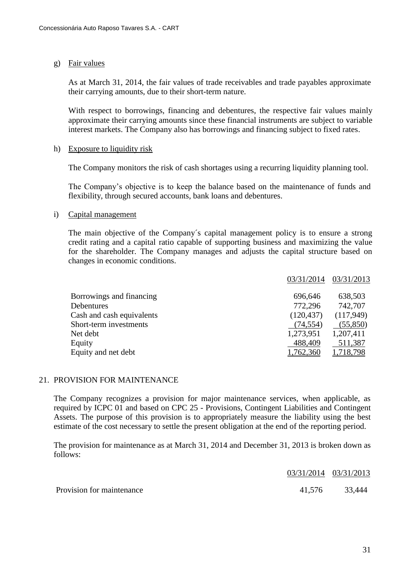## g) Fair values

As at March 31, 2014, the fair values of trade receivables and trade payables approximate their carrying amounts, due to their short-term nature.

With respect to borrowings, financing and debentures, the respective fair values mainly approximate their carrying amounts since these financial instruments are subject to variable interest markets. The Company also has borrowings and financing subject to fixed rates.

#### h) Exposure to liquidity risk

The Company monitors the risk of cash shortages using a recurring liquidity planning tool.

The Company's objective is to keep the balance based on the maintenance of funds and flexibility, through secured accounts, bank loans and debentures.

#### i) Capital management

The main objective of the Company´s capital management policy is to ensure a strong credit rating and a capital ratio capable of supporting business and maximizing the value for the shareholder. The Company manages and adjusts the capital structure based on changes in economic conditions.

|                           | 03/31/2014 | 03/31/2013 |
|---------------------------|------------|------------|
| Borrowings and financing  | 696,646    | 638,503    |
| Debentures                | 772,296    | 742,707    |
| Cash and cash equivalents | (120, 437) | (117,949)  |
| Short-term investments    | (74, 554)  | (55,850)   |
| Net debt                  | 1,273,951  | 1,207,411  |
| Equity                    | 488,409    | 511,387    |
| Equity and net debt       | 1,762,360  | 1,718,798  |

#### 21. PROVISION FOR MAINTENANCE

The Company recognizes a provision for major maintenance services, when applicable, as required by ICPC 01 and based on CPC 25 - Provisions, Contingent Liabilities and Contingent Assets. The purpose of this provision is to appropriately measure the liability using the best estimate of the cost necessary to settle the present obligation at the end of the reporting period.

The provision for maintenance as at March 31, 2014 and December 31, 2013 is broken down as follows:

|                           | 03/31/2014 03/31/2013 |               |
|---------------------------|-----------------------|---------------|
| Provision for maintenance |                       | 41,576 33,444 |